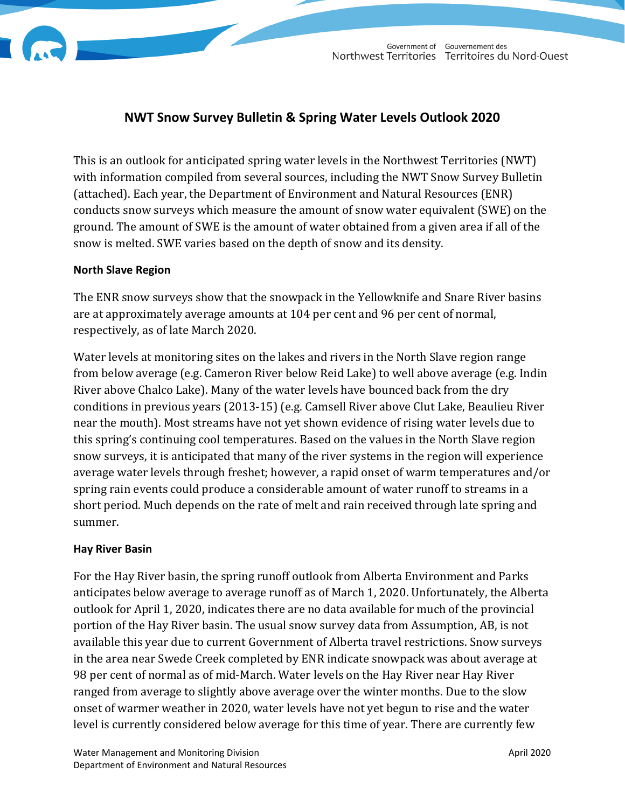



# **NWT Snow Survey Bulletin & Spring Water Levels Outlook 2020**

This is an outlook for anticipated spring water levels in the Northwest Territories (NWT) with information compiled from several sources, including the NWT Snow Survey Bulletin (attached). Each year, the Department of Environment and Natural Resources (ENR) conducts snow surveys which measure the amount of snow water equivalent (SWE) on the ground. The amount of SWE is the amount of water obtained from a given area if all of the snow is melted. SWE varies based on the depth of snow and its density.

#### **North Slave Region**

The ENR snow surveys show that the snowpack in the Yellowknife and Snare River basins are at approximately average amounts at 104 per cent and 96 per cent of normal, respectively, as of late March 2020.

Water levels at monitoring sites on the lakes and rivers in the North Slave region range from below average (e.g. Cameron River below Reid Lake) to well above average (e.g. Indin River above Chalco Lake). Many of the water levels have bounced back from the dry conditions in previous years (2013-15) (e.g. Camsell River above Clut Lake, Beaulieu River near the mouth). Most streams have not yet shown evidence of rising water levels due to this spring's continuing cool temperatures. Based on the values in the North Slave region snow surveys, it is anticipated that many of the river systems in the region will experience average water levels through freshet; however, a rapid onset of warm temperatures and/or spring rain events could produce a considerable amount of water runoff to streams in a short period. Much depends on the rate of melt and rain received through late spring and summer.

## **Hay River Basin**

For the Hay River basin, the spring runoff outlook from Alberta Environment and Parks anticipates below average to average runoff as of March 1, 2020. Unfortunately, the Alberta outlook for April 1, 2020, indicates there are no data available for much of the provincial portion of the Hay River basin. The usual snow survey data from Assumption, AB, is not available this year due to current Government of Alberta travel restrictions. Snow surveys in the area near Swede Creek completed by ENR indicate snowpack was about average at 98 per cent of normal as of mid-March. Water levels on the Hay River near Hay River ranged from average to slightly above average over the winter months. Due to the slow onset of warmer weather in 2020, water levels have not yet begun to rise and the water level is currently considered below average for this time of year. There are currently few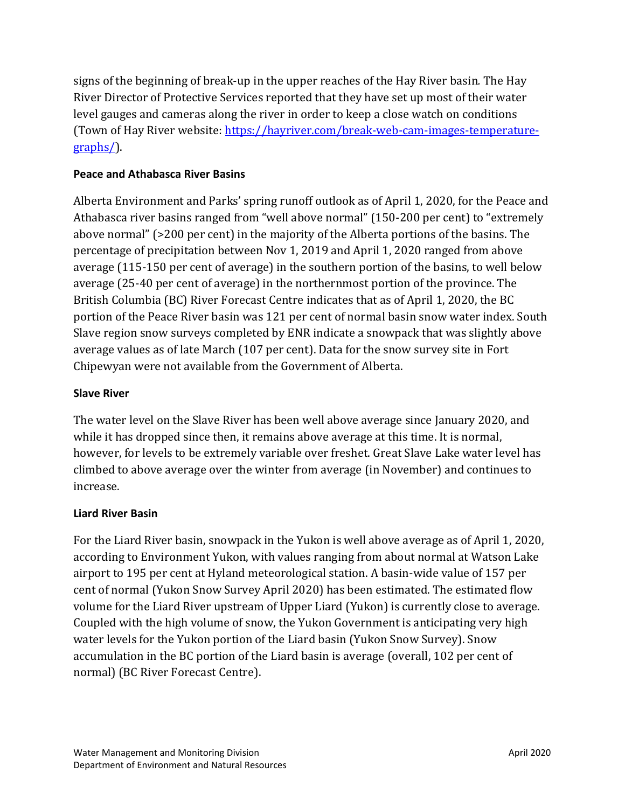signs of the beginning of break-up in the upper reaches of the Hay River basin*.* The Hay River Director of Protective Services reported that they have set up most of their water level gauges and cameras along the river in order to keep a close watch on conditions (Town of Hay River website: [https://hayriver.com/break-web-cam-images-temperature](https://hayriver.com/break-web-cam-images-temperature-graphs/)[graphs/\)](https://hayriver.com/break-web-cam-images-temperature-graphs/).

## **Peace and Athabasca River Basins**

Alberta Environment and Parks' spring runoff outlook as of April 1, 2020, for the Peace and Athabasca river basins ranged from "well above normal" (150-200 per cent) to "extremely above normal" (>200 per cent) in the majority of the Alberta portions of the basins. The percentage of precipitation between Nov 1, 2019 and April 1, 2020 ranged from above average (115-150 per cent of average) in the southern portion of the basins, to well below average (25-40 per cent of average) in the northernmost portion of the province. The British Columbia (BC) River Forecast Centre indicates that as of April 1, 2020, the BC portion of the Peace River basin was 121 per cent of normal basin snow water index. South Slave region snow surveys completed by ENR indicate a snowpack that was slightly above average values as of late March (107 per cent). Data for the snow survey site in Fort Chipewyan were not available from the Government of Alberta.

## **Slave River**

The water level on the Slave River has been well above average since January 2020, and while it has dropped since then, it remains above average at this time. It is normal, however, for levels to be extremely variable over freshet. Great Slave Lake water level has climbed to above average over the winter from average (in November) and continues to increase.

## **Liard River Basin**

For the Liard River basin, snowpack in the Yukon is well above average as of April 1, 2020, according to Environment Yukon, with values ranging from about normal at Watson Lake airport to 195 per cent at Hyland meteorological station. A basin-wide value of 157 per cent of normal (Yukon Snow Survey April 2020) has been estimated. The estimated flow volume for the Liard River upstream of Upper Liard (Yukon) is currently close to average. Coupled with the high volume of snow, the Yukon Government is anticipating very high water levels for the Yukon portion of the Liard basin (Yukon Snow Survey). Snow accumulation in the BC portion of the Liard basin is average (overall, 102 per cent of normal) (BC River Forecast Centre).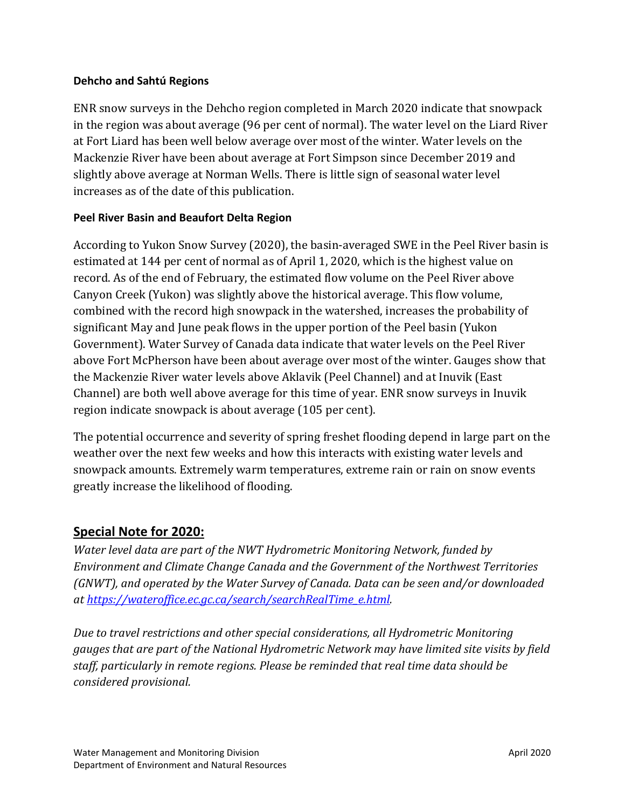#### **Dehcho and Sahtú Regions**

ENR snow surveys in the Dehcho region completed in March 2020 indicate that snowpack in the region was about average (96 per cent of normal). The water level on the Liard River at Fort Liard has been well below average over most of the winter. Water levels on the Mackenzie River have been about average at Fort Simpson since December 2019 and slightly above average at Norman Wells. There is little sign of seasonal water level increases as of the date of this publication.

## **Peel River Basin and Beaufort Delta Region**

According to Yukon Snow Survey (2020), the basin-averaged SWE in the Peel River basin is estimated at 144 per cent of normal as of April 1, 2020, which is the highest value on record. As of the end of February, the estimated flow volume on the Peel River above Canyon Creek (Yukon) was slightly above the historical average. This flow volume, combined with the record high snowpack in the watershed, increases the probability of significant May and June peak flows in the upper portion of the Peel basin (Yukon Government). Water Survey of Canada data indicate that water levels on the Peel River above Fort McPherson have been about average over most of the winter. Gauges show that the Mackenzie River water levels above Aklavik (Peel Channel) and at Inuvik (East Channel) are both well above average for this time of year. ENR snow surveys in Inuvik region indicate snowpack is about average (105 per cent).

The potential occurrence and severity of spring freshet flooding depend in large part on the weather over the next few weeks and how this interacts with existing water levels and snowpack amounts. Extremely warm temperatures, extreme rain or rain on snow events greatly increase the likelihood of flooding.

# **Special Note for 2020:**

*Water level data are part of the NWT Hydrometric Monitoring Network, funded by Environment and Climate Change Canada and the Government of the Northwest Territories (GNWT), and operated by the Water Survey of Canada. Data can be seen and/or downloaded at [https://wateroffice.ec.gc.ca/search/searchRealTime\\_e.html.](https://wateroffice.ec.gc.ca/search/searchRealTime_e.html)*

*Due to travel restrictions and other special considerations, all Hydrometric Monitoring gauges that are part of the National Hydrometric Network may have limited site visits by field staff, particularly in remote regions. Please be reminded that real time data should be considered provisional.*